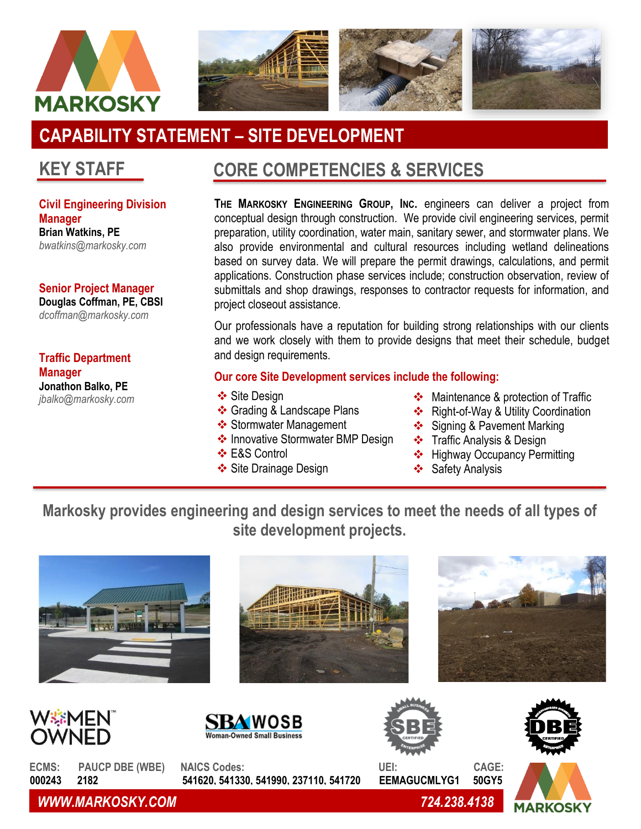



# **CAPABILITY STATEMENT – SITE DEVELOPMENT**

## **KEY STAFF**

**Civil Engineering Division Manager Brian Watkins, PE** *bwatkins@markosky.com*

**Senior Project Manager Douglas Coffman, PE, CBSI**

*dcoffman@markosky.com*

**Traffic Department Manager Jonathon Balko, PE** *jbalko@markosky.com*

## **CORE COMPETENCIES & SERVICES**

**THE MARKOSKY ENGINEERING GROUP, INC.** engineers can deliver a project from conceptual design through construction. We provide civil engineering services, permit preparation, utility coordination, water main, sanitary sewer, and stormwater plans. We also provide environmental and cultural resources including wetland delineations based on survey data. We will prepare the permit drawings, calculations, and permit applications. Construction phase services include; construction observation, review of submittals and shop drawings, responses to contractor requests for information, and project closeout assistance.

Our professionals have a reputation for building strong relationships with our clients and we work closely with them to provide designs that meet their schedule, budget and design requirements.

#### **Our core Site Development services include the following:**

- ❖ Site Design
- ❖ Grading & Landscape Plans
- ❖ Stormwater Management
- ❖ Innovative Stormwater BMP Design
- ❖ E&S Control
- ❖ Site Drainage Design
- ❖ Maintenance & protection of Traffic
- ❖ Right-of-Way & Utility Coordination
- ❖ Signing & Pavement Marking
- ❖ Traffic Analysis & Design
- ❖ Highway Occupancy Permitting
- ❖ Safety Analysis

**Markosky provides engineering and design services to meet the needs of all types of site development projects.**







## **WIEN** OWNED









**ECMS: PAUCP DBE (WBE) NAICS Codes: UEI: CAGE: 000243 2182 541620, 541330, 541990, 237110, 541720 EEMAGUCMLYG1 50GY5**

*WWW.MARKOSKY.COM 724.238.4138*